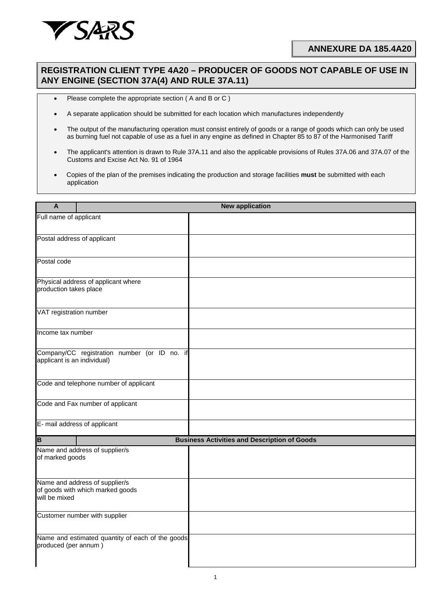

## **ANNEXURE DA 185.4A20**

## **REGISTRATION CLIENT TYPE 4A20 – PRODUCER OF GOODS NOT CAPABLE OF USE IN ANY ENGINE (SECTION 37A(4) AND RULE 37A.11)**

- Please complete the appropriate section ( A and B or C )
- A separate application should be submitted for each location which manufactures independently
- The output of the manufacturing operation must consist entirely of goods or a range of goods which can only be used as burning fuel not capable of use as a fuel in any engine as defined in Chapter 85 to 87 of the Harmonised Tariff
- The applicant's attention is drawn to Rule 37A.11 and also the applicable provisions of Rules 37A.06 and 37A.07 of the Customs and Excise Act No. 91 of 1964
- Copies of the plan of the premises indicating the production and storage facilities **must** be submitted with each application

| A                                                                                   | <b>New application</b> |                                                     |  |  |  |
|-------------------------------------------------------------------------------------|------------------------|-----------------------------------------------------|--|--|--|
| Full name of applicant                                                              |                        |                                                     |  |  |  |
| Postal address of applicant                                                         |                        |                                                     |  |  |  |
| Postal code                                                                         |                        |                                                     |  |  |  |
| Physical address of applicant where<br>production takes place                       |                        |                                                     |  |  |  |
| VAT registration number                                                             |                        |                                                     |  |  |  |
| Income tax number                                                                   |                        |                                                     |  |  |  |
| Company/CC registration number (or ID no. if<br>applicant is an individual)         |                        |                                                     |  |  |  |
| Code and telephone number of applicant                                              |                        |                                                     |  |  |  |
| Code and Fax number of applicant                                                    |                        |                                                     |  |  |  |
| E- mail address of applicant                                                        |                        |                                                     |  |  |  |
| $\overline{\mathsf{B}}$                                                             |                        | <b>Business Activities and Description of Goods</b> |  |  |  |
| Name and address of supplier/s<br>of marked goods                                   |                        |                                                     |  |  |  |
| Name and address of supplier/s<br>of goods with which marked goods<br>will be mixed |                        |                                                     |  |  |  |
| Customer number with supplier                                                       |                        |                                                     |  |  |  |
| Name and estimated quantity of each of the goods<br>produced (per annum)            |                        |                                                     |  |  |  |